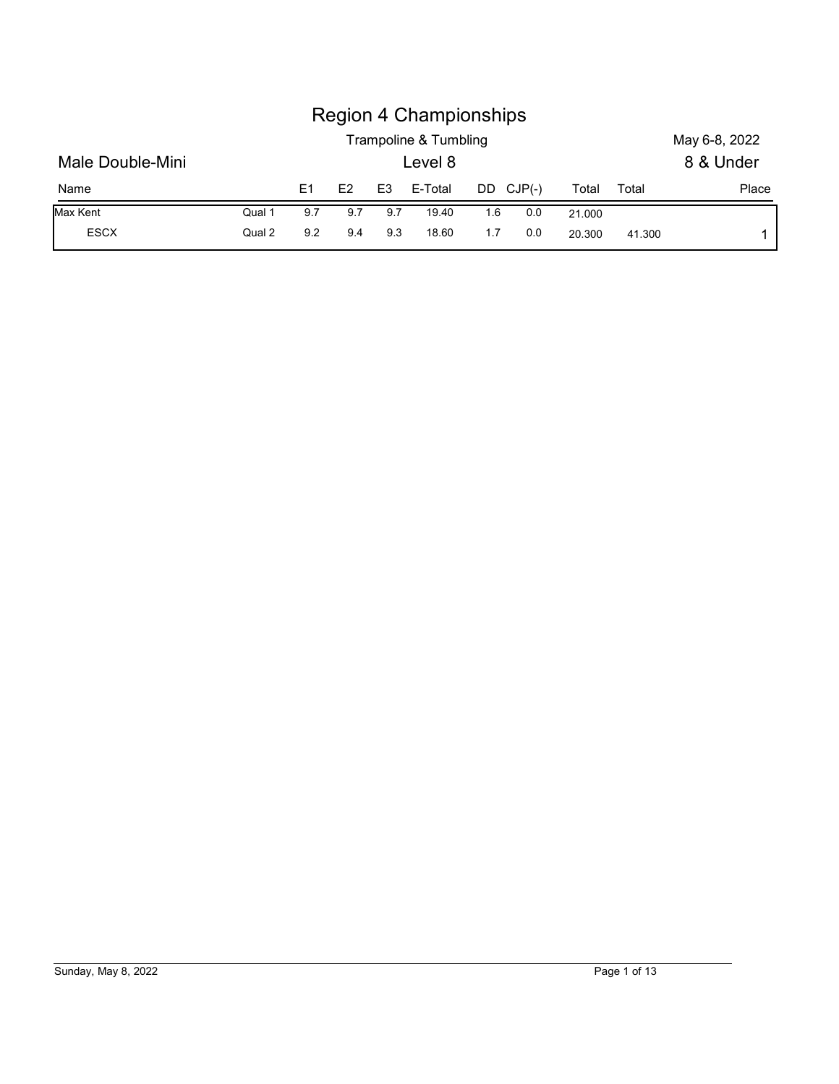|                  |        |                |     |                | <b>Region 4 Championships</b><br>Trampoline & Tumbling |     |           |        |       | May 6-8, 2022 |
|------------------|--------|----------------|-----|----------------|--------------------------------------------------------|-----|-----------|--------|-------|---------------|
| Male Double-Mini |        |                |     |                | Level 8                                                |     |           |        |       | 8 & Under     |
| Name             |        | E <sub>1</sub> | E2  | E <sub>3</sub> | E-Total                                                |     | DD CJP(-) | Total  | Total | Place         |
| Max Kent         | Qual 1 | 9.7            | 9.7 | 9.7            | 19.40                                                  | 1.6 | 0.0       | 21.000 |       |               |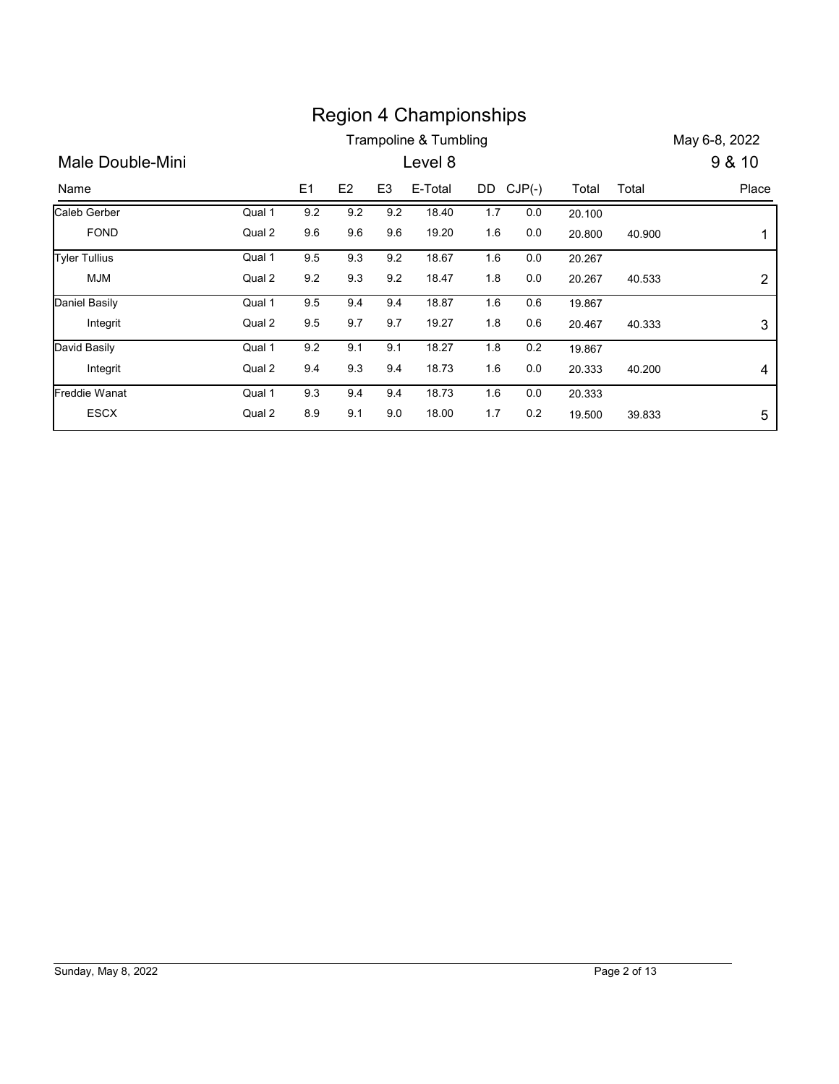|                      |        |     |     |                | <b>Region 4 Championships</b> |           |         |        |        |                |
|----------------------|--------|-----|-----|----------------|-------------------------------|-----------|---------|--------|--------|----------------|
|                      |        |     |     |                | Trampoline & Tumbling         |           |         |        |        | May 6-8, 2022  |
| Male Double-Mini     |        |     |     |                | Level 8                       |           |         |        |        | 9 & 10         |
| Name                 |        | E1  | E2  | E <sub>3</sub> | E-Total                       | DD CJP(-) |         | Total  | Total  | Place          |
|                      |        |     |     |                |                               |           |         |        |        |                |
| Caleb Gerber         | Qual 1 | 9.2 | 9.2 | 9.2            | 18.40                         | 1.7       | 0.0     | 20.100 |        |                |
| <b>FOND</b>          | Qual 2 | 9.6 | 9.6 | 9.6            | 19.20                         | 1.6       | $0.0\,$ | 20.800 | 40.900 | $\mathbf 1$    |
| <b>Tyler Tullius</b> | Qual 1 | 9.5 | 9.3 | 9.2            | 18.67                         | 1.6       | 0.0     | 20.267 |        |                |
| <b>MJM</b>           | Qual 2 | 9.2 | 9.3 | $9.2\,$        | 18.47                         | 1.8       | $0.0\,$ | 20.267 | 40.533 | $\overline{c}$ |
| <b>Daniel Basily</b> | Qual 1 | 9.5 | 9.4 | 9.4            | 18.87                         | 1.6       | 0.6     | 19.867 |        |                |
| Integrit             | Qual 2 | 9.5 | 9.7 | 9.7            | 19.27                         | 1.8       | 0.6     | 20.467 | 40.333 | $\mathbf{3}$   |
| David Basily         | Qual 1 | 9.2 | 9.1 | 9.1            | 18.27                         | 1.8       | 0.2     | 19.867 |        |                |
| Integrit             | Qual 2 | 9.4 | 9.3 | 9.4            | 18.73                         | 1.6       | 0.0     | 20.333 | 40.200 | 4              |
| Freddie Wanat        | Qual 1 | 9.3 | 9.4 | 9.4            | 18.73                         | 1.6       | 0.0     | 20.333 |        |                |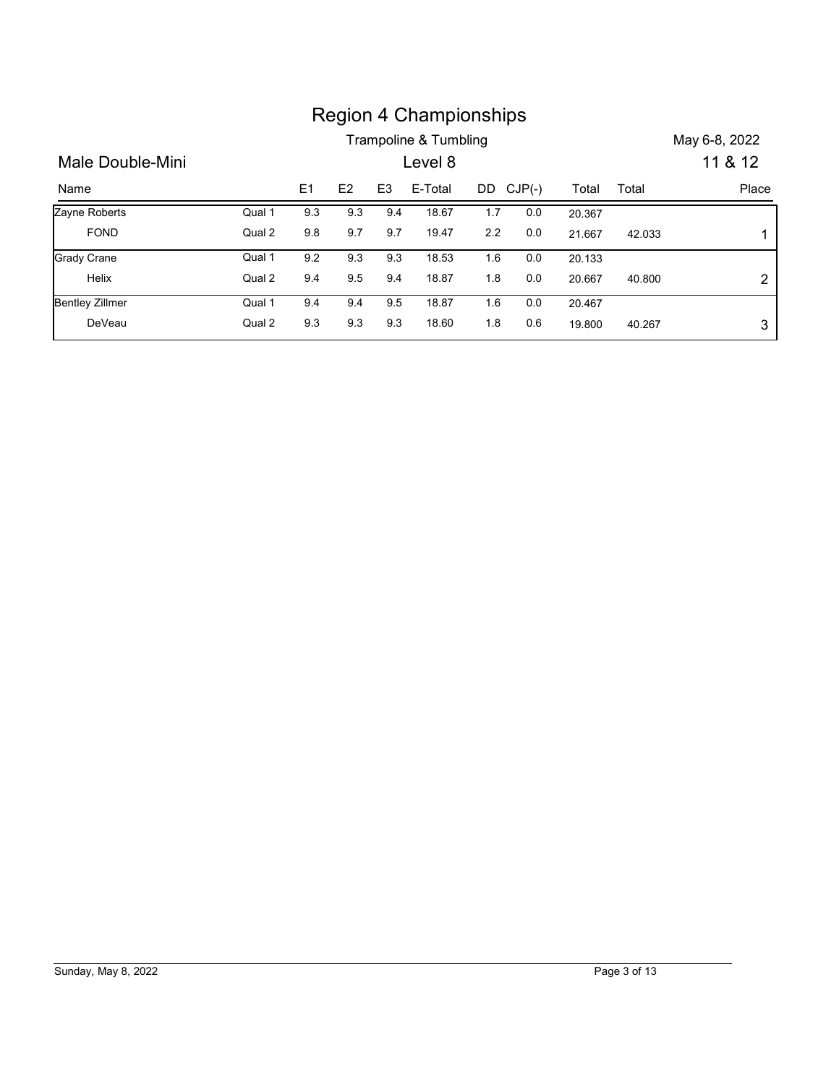|                              |        |     |                |                | <b>Region 4 Championships</b>    |         |           |        |        |                          |
|------------------------------|--------|-----|----------------|----------------|----------------------------------|---------|-----------|--------|--------|--------------------------|
| Male Double-Mini             |        |     |                |                | Trampoline & Tumbling<br>Level 8 |         |           |        |        | May 6-8, 2022<br>11 & 12 |
| Name                         |        | E1  | E <sub>2</sub> | E <sub>3</sub> | E-Total                          |         | DD CJP(-) | Total  | Total  | Place                    |
|                              | Qual 1 | 9.3 | 9.3            | 9.4            | 18.67                            | 1.7     | $0.0\,$   | 20.367 |        |                          |
| Zayne Roberts<br><b>FOND</b> | Qual 2 | 9.8 | 9.7            | 9.7            | 19.47                            | $2.2\,$ | 0.0       | 21.667 | 42.033 | 1                        |
| <b>Grady Crane</b>           | Qual 1 | 9.2 | 9.3            | 9.3            | 18.53                            | 1.6     | 0.0       | 20.133 |        |                          |
| Helix                        | Qual 2 | 9.4 | 9.5            | 9.4            | 18.87                            | 1.8     | $0.0\,$   | 20.667 | 40.800 | $\overline{c}$           |
| <b>Bentley Zillmer</b>       | Qual 1 | 9.4 | 9.4            | 9.5            | 18.87                            | 1.6     | 0.0       | 20.467 |        |                          |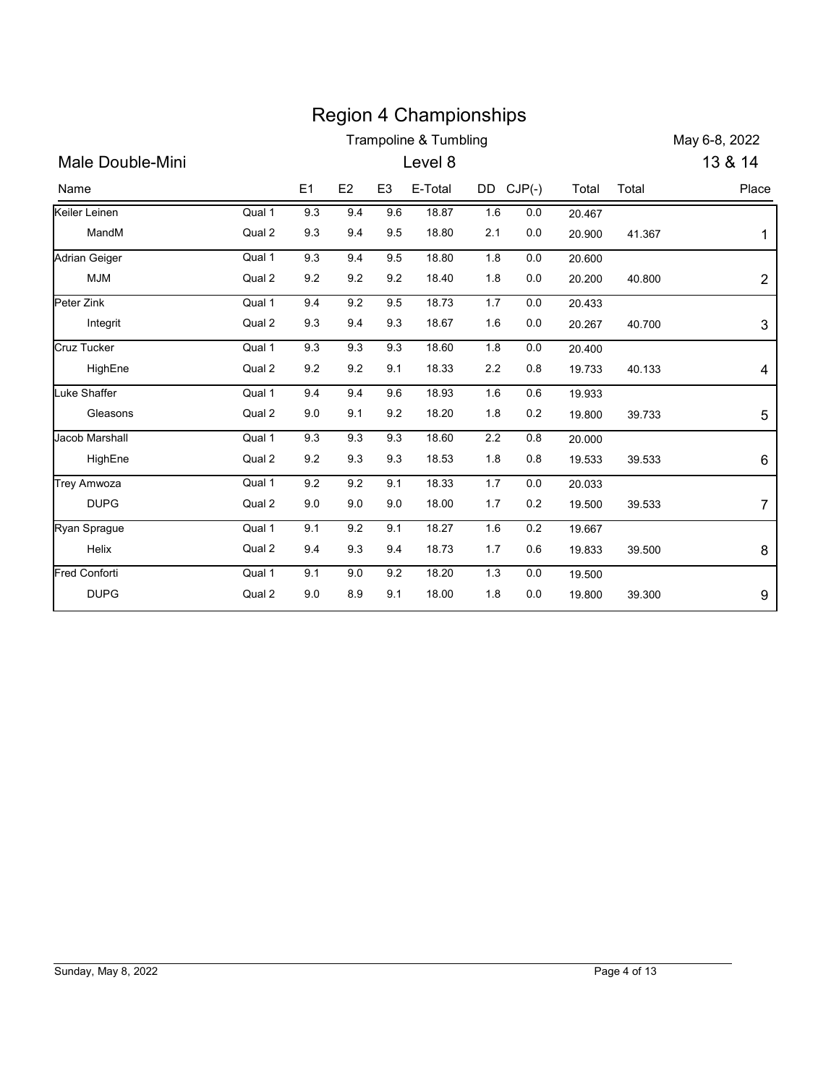| <b>Region 4 Championships</b><br><b>Trampoline &amp; Tumbling</b><br>May 6-8, 2022<br>13 & 14<br>Male Double-Mini<br>Level 8<br>E2<br>E-Total<br>DD CJP(-)<br>E1<br>E <sub>3</sub><br>Total<br>Place<br>Total<br>Name<br>Qual 1<br>9.3<br>9.4<br>9.6<br>18.87<br>1.6<br>0.0<br>20.467<br>Qual 2<br>MandM<br>9.3<br>9.4<br>9.5<br>18.80<br>2.1<br>0.0<br>20.900<br>41.367<br>Qual 1<br>9.3<br>9.4<br>9.5<br>18.80<br>1.8<br>0.0<br>20.600<br>Qual 2<br><b>MJM</b><br>9.2<br>9.2<br>9.2<br>18.40<br>1.8<br>0.0<br>20.200<br>40.800<br>Qual 1<br>9.4<br>9.2<br>9.5<br>18.73<br>1.7<br>0.0<br>20.433<br>Qual 2<br>9.3<br>9.4<br>9.3<br>18.67<br>0.0<br>1.6<br>20.267<br>Integrit<br>40.700<br>Qual 1<br>9.3<br>9.3<br>9.3<br>18.60<br>1.8<br>0.0<br>20.400<br>HighEne<br>Qual 2<br>18.33<br>$0.8\,$<br>9.2<br>9.2<br>9.1<br>2.2<br>19.733<br>40.133<br>9.4<br>18.93<br>Qual 1<br>9.4<br>9.6<br>1.6<br>0.6<br>19.933<br>9.0<br>18.20<br>Qual 2<br>9.1<br>9.2<br>1.8<br>0.2<br>Gleasons<br>19.800<br>39.733<br>Jacob Marshall<br>Qual 1<br>9.3<br>9.3<br>9.3<br>18.60<br>$2.2\,$<br>0.8<br>20.000<br>Qual 2<br>9.3<br>$9.2\,$<br>9.3<br>18.53<br>1.8<br>0.8<br>HighEne<br>19.533<br>39.533<br>Qual 1<br>9.2<br>9.2<br>9.1<br>18.33<br>1.7<br>0.0<br>20.033<br><b>DUPG</b><br>Qual 2<br>$9.0\,$<br>9.0<br>9.0<br>18.00<br>1.7<br>0.2<br>19.500<br>39.533<br>9.1<br>Qual 1<br>9.1<br>$9.2\,$<br>18.27<br>1.6<br>0.2<br>19.667<br>Qual 2<br>Helix<br>$9.3\,$<br>18.73<br>9.4<br>9.4<br>$1.7$<br>0.6<br>19.833<br>39.500 |
|----------------------------------------------------------------------------------------------------------------------------------------------------------------------------------------------------------------------------------------------------------------------------------------------------------------------------------------------------------------------------------------------------------------------------------------------------------------------------------------------------------------------------------------------------------------------------------------------------------------------------------------------------------------------------------------------------------------------------------------------------------------------------------------------------------------------------------------------------------------------------------------------------------------------------------------------------------------------------------------------------------------------------------------------------------------------------------------------------------------------------------------------------------------------------------------------------------------------------------------------------------------------------------------------------------------------------------------------------------------------------------------------------------------------------------------------------------------------------------------------------------------|
| Peter Zink<br><b>Cruz Tucker</b><br>Luke Shaffer<br>Ryan Sprague                                                                                                                                                                                                                                                                                                                                                                                                                                                                                                                                                                                                                                                                                                                                                                                                                                                                                                                                                                                                                                                                                                                                                                                                                                                                                                                                                                                                                                               |
| Keiler Leinen<br>Adrian Geiger<br>Trey Amwoza                                                                                                                                                                                                                                                                                                                                                                                                                                                                                                                                                                                                                                                                                                                                                                                                                                                                                                                                                                                                                                                                                                                                                                                                                                                                                                                                                                                                                                                                  |
|                                                                                                                                                                                                                                                                                                                                                                                                                                                                                                                                                                                                                                                                                                                                                                                                                                                                                                                                                                                                                                                                                                                                                                                                                                                                                                                                                                                                                                                                                                                |
|                                                                                                                                                                                                                                                                                                                                                                                                                                                                                                                                                                                                                                                                                                                                                                                                                                                                                                                                                                                                                                                                                                                                                                                                                                                                                                                                                                                                                                                                                                                |
|                                                                                                                                                                                                                                                                                                                                                                                                                                                                                                                                                                                                                                                                                                                                                                                                                                                                                                                                                                                                                                                                                                                                                                                                                                                                                                                                                                                                                                                                                                                |
|                                                                                                                                                                                                                                                                                                                                                                                                                                                                                                                                                                                                                                                                                                                                                                                                                                                                                                                                                                                                                                                                                                                                                                                                                                                                                                                                                                                                                                                                                                                |
|                                                                                                                                                                                                                                                                                                                                                                                                                                                                                                                                                                                                                                                                                                                                                                                                                                                                                                                                                                                                                                                                                                                                                                                                                                                                                                                                                                                                                                                                                                                |
|                                                                                                                                                                                                                                                                                                                                                                                                                                                                                                                                                                                                                                                                                                                                                                                                                                                                                                                                                                                                                                                                                                                                                                                                                                                                                                                                                                                                                                                                                                                |
|                                                                                                                                                                                                                                                                                                                                                                                                                                                                                                                                                                                                                                                                                                                                                                                                                                                                                                                                                                                                                                                                                                                                                                                                                                                                                                                                                                                                                                                                                                                |
|                                                                                                                                                                                                                                                                                                                                                                                                                                                                                                                                                                                                                                                                                                                                                                                                                                                                                                                                                                                                                                                                                                                                                                                                                                                                                                                                                                                                                                                                                                                |
|                                                                                                                                                                                                                                                                                                                                                                                                                                                                                                                                                                                                                                                                                                                                                                                                                                                                                                                                                                                                                                                                                                                                                                                                                                                                                                                                                                                                                                                                                                                |
|                                                                                                                                                                                                                                                                                                                                                                                                                                                                                                                                                                                                                                                                                                                                                                                                                                                                                                                                                                                                                                                                                                                                                                                                                                                                                                                                                                                                                                                                                                                |
|                                                                                                                                                                                                                                                                                                                                                                                                                                                                                                                                                                                                                                                                                                                                                                                                                                                                                                                                                                                                                                                                                                                                                                                                                                                                                                                                                                                                                                                                                                                |
|                                                                                                                                                                                                                                                                                                                                                                                                                                                                                                                                                                                                                                                                                                                                                                                                                                                                                                                                                                                                                                                                                                                                                                                                                                                                                                                                                                                                                                                                                                                |
|                                                                                                                                                                                                                                                                                                                                                                                                                                                                                                                                                                                                                                                                                                                                                                                                                                                                                                                                                                                                                                                                                                                                                                                                                                                                                                                                                                                                                                                                                                                |
|                                                                                                                                                                                                                                                                                                                                                                                                                                                                                                                                                                                                                                                                                                                                                                                                                                                                                                                                                                                                                                                                                                                                                                                                                                                                                                                                                                                                                                                                                                                |
|                                                                                                                                                                                                                                                                                                                                                                                                                                                                                                                                                                                                                                                                                                                                                                                                                                                                                                                                                                                                                                                                                                                                                                                                                                                                                                                                                                                                                                                                                                                |
|                                                                                                                                                                                                                                                                                                                                                                                                                                                                                                                                                                                                                                                                                                                                                                                                                                                                                                                                                                                                                                                                                                                                                                                                                                                                                                                                                                                                                                                                                                                |
|                                                                                                                                                                                                                                                                                                                                                                                                                                                                                                                                                                                                                                                                                                                                                                                                                                                                                                                                                                                                                                                                                                                                                                                                                                                                                                                                                                                                                                                                                                                |
|                                                                                                                                                                                                                                                                                                                                                                                                                                                                                                                                                                                                                                                                                                                                                                                                                                                                                                                                                                                                                                                                                                                                                                                                                                                                                                                                                                                                                                                                                                                |
| Fred Conforti<br>Qual 1<br>9.2<br>18.20<br>1.3<br>0.0<br>9.1<br>$9.0\,$<br>19.500                                                                                                                                                                                                                                                                                                                                                                                                                                                                                                                                                                                                                                                                                                                                                                                                                                                                                                                                                                                                                                                                                                                                                                                                                                                                                                                                                                                                                              |
| Qual 2<br>DUPG<br>$9.0\,$<br>9.1<br>18.00<br>1.8<br>8.9<br>0.0<br>19.800<br>39.300                                                                                                                                                                                                                                                                                                                                                                                                                                                                                                                                                                                                                                                                                                                                                                                                                                                                                                                                                                                                                                                                                                                                                                                                                                                                                                                                                                                                                             |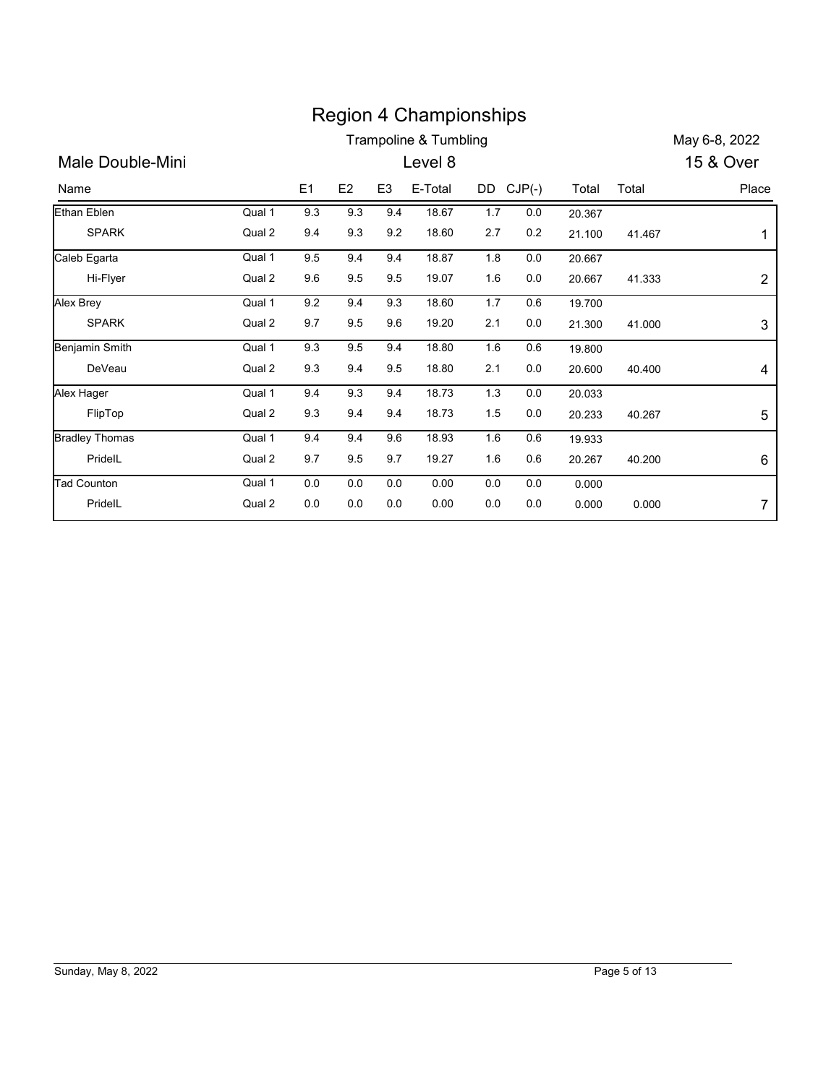|                       |        |         |         |                | <b>Region 4 Championships</b>    |           |         |        |        |                |
|-----------------------|--------|---------|---------|----------------|----------------------------------|-----------|---------|--------|--------|----------------|
|                       |        |         |         |                | <b>Trampoline &amp; Tumbling</b> |           |         |        |        | May 6-8, 2022  |
| Male Double-Mini      |        |         |         |                | Level 8                          |           |         |        |        | 15 & Over      |
| Name                  |        | E1      | E2      | E <sub>3</sub> | E-Total                          | DD CJP(-) |         | Total  | Total  | Place          |
| <b>Ethan Eblen</b>    | Qual 1 | 9.3     | 9.3     | 9.4            | 18.67                            | 1.7       | 0.0     | 20.367 |        |                |
| <b>SPARK</b>          | Qual 2 | 9.4     | 9.3     | 9.2            | 18.60                            | 2.7       | $0.2\,$ | 21.100 | 41.467 | 1              |
| Caleb Egarta          | Qual 1 | 9.5     | 9.4     | 9.4            | 18.87                            | 1.8       | 0.0     | 20.667 |        |                |
| Hi-Flyer              | Qual 2 | 9.6     | 9.5     | $9.5\,$        | 19.07                            | 1.6       | 0.0     | 20.667 | 41.333 | $\overline{c}$ |
| Alex Brey             | Qual 1 | 9.2     | 9.4     | 9.3            | 18.60                            | 1.7       | 0.6     | 19.700 |        |                |
| <b>SPARK</b>          | Qual 2 | 9.7     | 9.5     | 9.6            | 19.20                            | 2.1       | 0.0     | 21.300 | 41.000 | 3              |
| <b>Benjamin Smith</b> | Qual 1 | 9.3     | 9.5     | 9.4            | 18.80                            | 1.6       | 0.6     | 19.800 |        |                |
| DeVeau                | Qual 2 | 9.3     | 9.4     | 9.5            | 18.80                            | 2.1       | 0.0     | 20.600 | 40.400 | 4              |
| Alex Hager            | Qual 1 | 9.4     | 9.3     | 9.4            | 18.73                            | 1.3       | 0.0     | 20.033 |        |                |
| FlipTop               | Qual 2 | 9.3     | 9.4     | 9.4            | 18.73                            | 1.5       | 0.0     | 20.233 | 40.267 | 5              |
| <b>Bradley Thomas</b> | Qual 1 | 9.4     | 9.4     | 9.6            | 18.93                            | 1.6       | 0.6     | 19.933 |        |                |
| PridelL               | Qual 2 | 9.7     | 9.5     | 9.7            | 19.27                            | 1.6       | 0.6     | 20.267 | 40.200 | 6              |
| <b>Tad Counton</b>    | Qual 1 | 0.0     | 0.0     | 0.0            | 0.00                             | 0.0       | 0.0     | 0.000  |        |                |
|                       |        | $0.0\,$ | $0.0\,$ | $0.0\,$        | 0.00                             | $0.0\,$   | 0.0     | 0.000  |        |                |
| PridelL               | Qual 2 |         |         |                |                                  |           |         |        | 0.000  | $\overline{7}$ |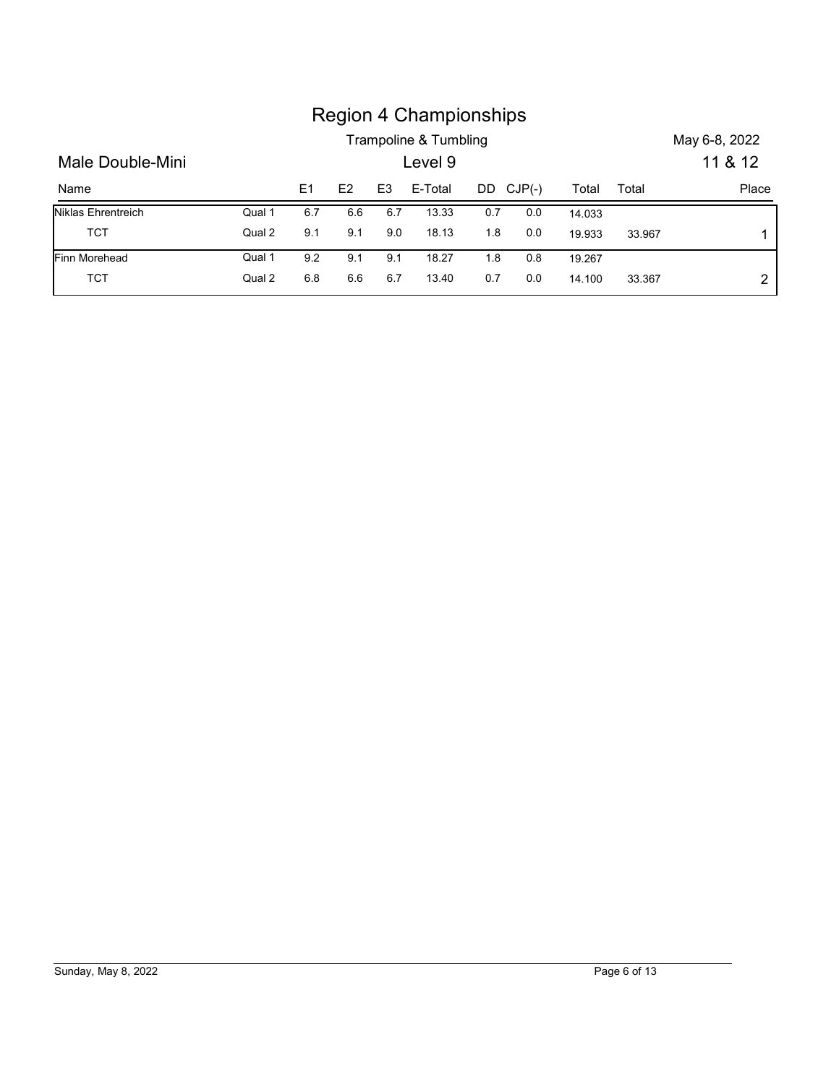|                    |        |     |     |                | <b>Region 4 Championships</b><br>Trampoline & Tumbling |     |           |        |        | May 6-8, 2022 |
|--------------------|--------|-----|-----|----------------|--------------------------------------------------------|-----|-----------|--------|--------|---------------|
| Male Double-Mini   |        |     |     |                | Level 9                                                |     |           |        |        | 11 & 12       |
| Name               |        | E1  | E2  | E <sub>3</sub> | E-Total                                                |     | DD CJP(-) | Total  | Total  | Place         |
| Niklas Ehrentreich | Qual 1 | 6.7 | 6.6 | 6.7            | 13.33                                                  | 0.7 | $0.0\,$   | 14.033 |        |               |
| <b>TCT</b>         | Qual 2 | 9.1 | 9.1 | 9.0            | 18.13                                                  | 1.8 | $0.0\,$   | 19.933 | 33.967 | 1             |
| Finn Morehead      | Qual 1 | 9.2 | 9.1 | 9.1            | 18.27                                                  | 1.8 | 0.8       | 19.267 |        |               |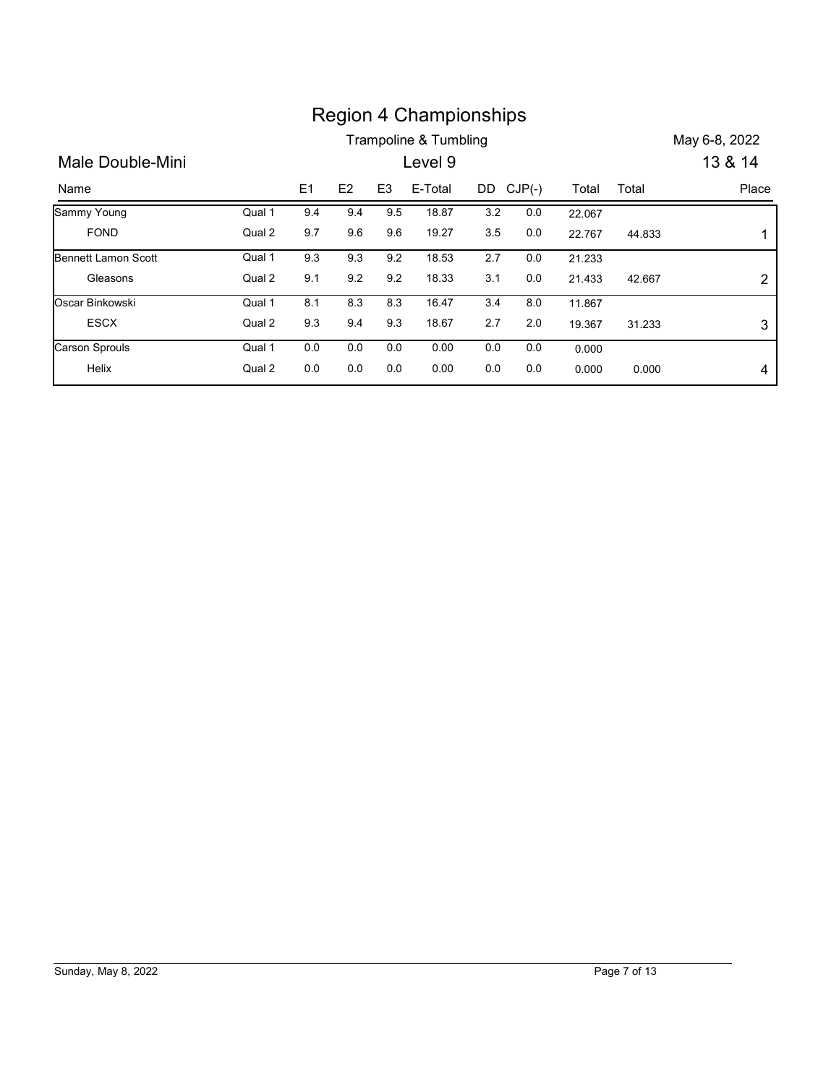|                            |        |     |         |                | <b>Region 4 Championships</b> |         |           |        |        |                |
|----------------------------|--------|-----|---------|----------------|-------------------------------|---------|-----------|--------|--------|----------------|
|                            |        |     |         |                | Trampoline & Tumbling         |         |           |        |        | May 6-8, 2022  |
| Male Double-Mini           |        |     |         |                | Level 9                       |         |           |        |        | 13 & 14        |
| Name                       |        | E1  | E2      | E <sub>3</sub> | E-Total                       |         | DD CJP(-) | Total  | Total  | Place          |
| Sammy Young                | Qual 1 | 9.4 | 9.4     | 9.5            | 18.87                         | 3.2     | 0.0       | 22.067 |        |                |
| <b>FOND</b>                | Qual 2 | 9.7 | 9.6     | 9.6            | 19.27                         | $3.5\,$ | 0.0       | 22.767 | 44.833 | 1              |
| <b>Bennett Lamon Scott</b> | Qual 1 | 9.3 | 9.3     | 9.2            | 18.53                         | 2.7     | 0.0       | 21.233 |        |                |
| Gleasons                   | Qual 2 | 9.1 | $9.2\,$ | 9.2            | 18.33                         | 3.1     | 0.0       | 21.433 | 42.667 | $\overline{c}$ |
| Oscar Binkowski            | Qual 1 | 8.1 | 8.3     | 8.3            | 16.47                         | 3.4     | 8.0       | 11.867 |        |                |
| <b>ESCX</b>                | Qual 2 | 9.3 | 9.4     | 9.3            | 18.67                         | 2.7     | $2.0\,$   | 19.367 | 31.233 | 3              |
| Carson Sprouls             | Qual 1 | 0.0 | 0.0     | 0.0            | 0.00                          | 0.0     | 0.0       | 0.000  |        |                |

# Sunday, May 8, 2022 Page 7 of 13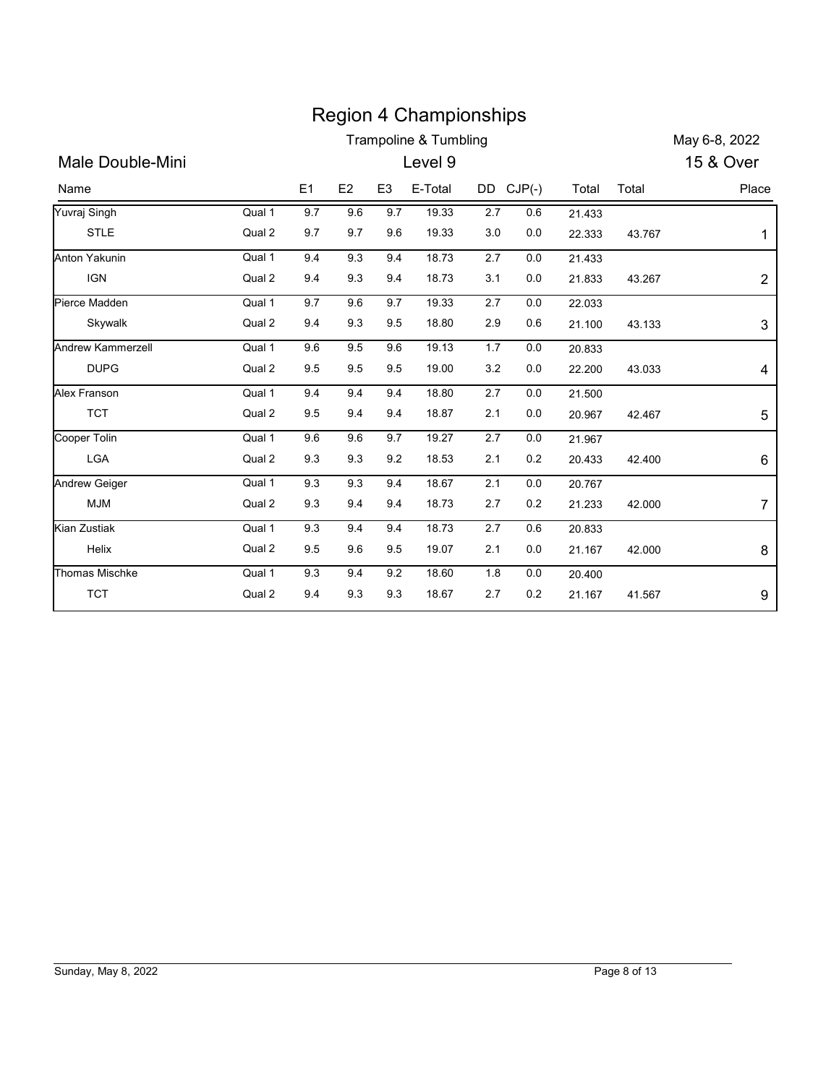|                      |        |         |                |                | <b>Region 4 Championships</b><br>Trampoline & Tumbling |           |         |        |        | May 6-8, 2022  |
|----------------------|--------|---------|----------------|----------------|--------------------------------------------------------|-----------|---------|--------|--------|----------------|
| Male Double-Mini     |        |         |                |                | Level 9                                                |           |         |        |        | 15 & Over      |
| Name                 |        | E1      | E <sub>2</sub> | E <sub>3</sub> | E-Total                                                | DD CJP(-) |         | Total  | Total  | Place          |
| Yuvraj Singh         | Qual 1 | 9.7     | 9.6            | 9.7            | 19.33                                                  | 2.7       | 0.6     | 21.433 |        |                |
| <b>STLE</b>          | Qual 2 | 9.7     | 9.7            | 9.6            | 19.33                                                  | 3.0       | 0.0     | 22.333 | 43.767 | 1              |
| Anton Yakunin        | Qual 1 | 9.4     | 9.3            | 9.4            | 18.73                                                  | 2.7       | 0.0     | 21.433 |        |                |
| <b>IGN</b>           | Qual 2 | 9.4     | 9.3            | 9.4            | 18.73                                                  | 3.1       | 0.0     | 21.833 | 43.267 | 2              |
| Pierce Madden        | Qual 1 | 9.7     | 9.6            | 9.7            | 19.33                                                  | 2.7       | 0.0     | 22.033 |        |                |
| Skywalk              | Qual 2 | 9.4     | 9.3            | 9.5            | 18.80                                                  | 2.9       | 0.6     | 21.100 | 43.133 | 3              |
| Andrew Kammerzell    | Qual 1 | 9.6     | 9.5            | 9.6            | 19.13                                                  | 1.7       | 0.0     | 20.833 |        |                |
| <b>DUPG</b>          | Qual 2 | 9.5     | 9.5            | 9.5            | 19.00                                                  | 3.2       | 0.0     | 22.200 | 43.033 | 4              |
| Alex Franson         | Qual 1 | 9.4     | 9.4            | 9.4            | 18.80                                                  | 2.7       | 0.0     | 21.500 |        |                |
| <b>TCT</b>           | Qual 2 | 9.5     | 9.4            | 9.4            | 18.87                                                  | 2.1       | 0.0     | 20.967 | 42.467 | 5              |
| Cooper Tolin         | Qual 1 | $9.6\,$ | $9.6\,$        | 9.7            | 19.27                                                  | $2.7\,$   | $0.0\,$ | 21.967 |        |                |
| LGA                  | Qual 2 | 9.3     | 9.3            | 9.2            | 18.53                                                  | $2.1$     | 0.2     | 20.433 | 42.400 | 6              |
| <b>Andrew Geiger</b> | Qual 1 | 9.3     | 9.3            | 9.4            | 18.67                                                  | $2.1$     | $0.0\,$ | 20.767 |        |                |
| <b>MJM</b>           | Qual 2 | 9.3     | 9.4            | 9.4            | 18.73                                                  | 2.7       | 0.2     | 21.233 | 42.000 | $\overline{7}$ |
| <b>Kian Zustiak</b>  | Qual 1 | 9.3     | 9.4            | 9.4            | 18.73                                                  | $2.7\,$   | 0.6     | 20.833 |        |                |
| Helix                | Qual 2 | 9.5     | 9.6            | 9.5            | 19.07                                                  | 2.1       | 0.0     | 21.167 | 42.000 | 8              |
|                      | Qual 1 | $9.3\,$ | 9.4            | 9.2            | 18.60                                                  | 1.8       | $0.0\,$ | 20.400 |        |                |
| Thomas Mischke       |        | 9.4     | 9.3            | 9.3            | 18.67                                                  | 2.7       | 0.2     | 21.167 | 41.567 | 9              |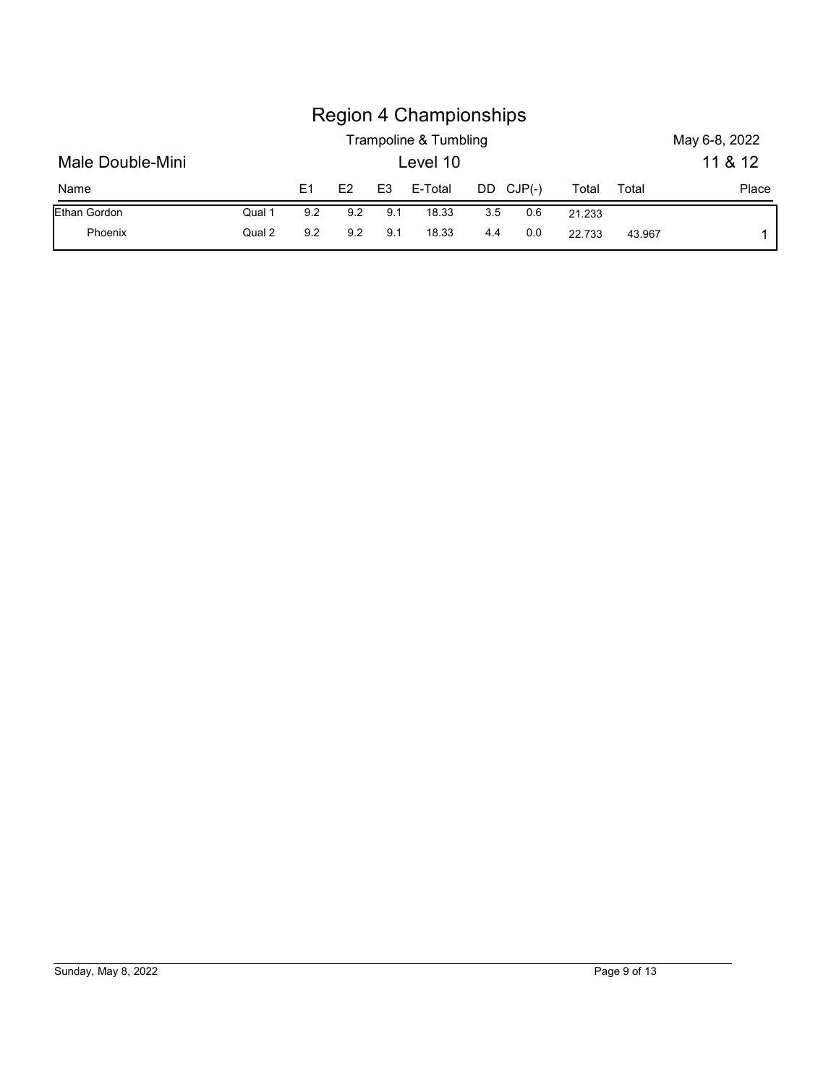|                  |        |     |     |                | <b>Region 4 Championships</b>     |     |           |        |       |               |
|------------------|--------|-----|-----|----------------|-----------------------------------|-----|-----------|--------|-------|---------------|
|                  |        |     |     |                |                                   |     |           |        |       | May 6-8, 2022 |
| Male Double-Mini |        |     |     |                | Trampoline & Tumbling<br>Level 10 |     |           |        |       | 11 & 12       |
| Name             |        | E1  | E2  | E <sub>3</sub> | E-Total                           |     | DD CJP(-) | Total  | Total | Place         |
| Ethan Gordon     | Qual 1 | 9.2 | 9.2 | 9.1            | 18.33                             | 3.5 | 0.6       | 21.233 |       |               |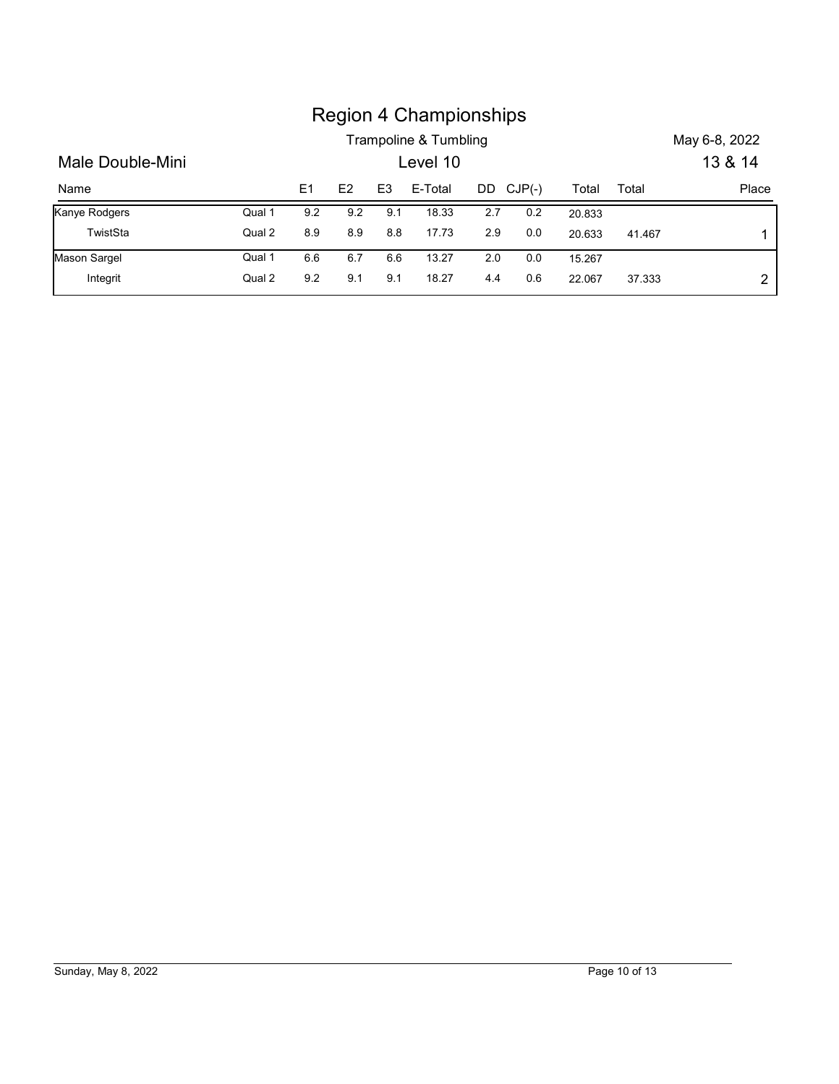|                  |        |     |     |                | <b>Region 4 Championships</b>     |     |          |        |        |                          |
|------------------|--------|-----|-----|----------------|-----------------------------------|-----|----------|--------|--------|--------------------------|
| Male Double-Mini |        |     |     |                | Trampoline & Tumbling<br>Level 10 |     |          |        |        | May 6-8, 2022<br>13 & 14 |
| Name             |        | E1  | E2  | E <sub>3</sub> | E-Total                           | DD  | $CJP(-)$ | Total  | Total  | Place                    |
| Kanye Rodgers    | Qual 1 | 9.2 | 9.2 | 9.1            | 18.33                             | 2.7 | 0.2      | 20.833 |        |                          |
| TwistSta         | Qual 2 | 8.9 | 8.9 | 8.8            | 17.73                             | 2.9 | 0.0      | 20.633 | 41.467 | 1                        |
| Mason Sargel     | Qual 1 | 6.6 | 6.7 | 6.6            | 13.27                             | 2.0 | 0.0      | 15.267 |        |                          |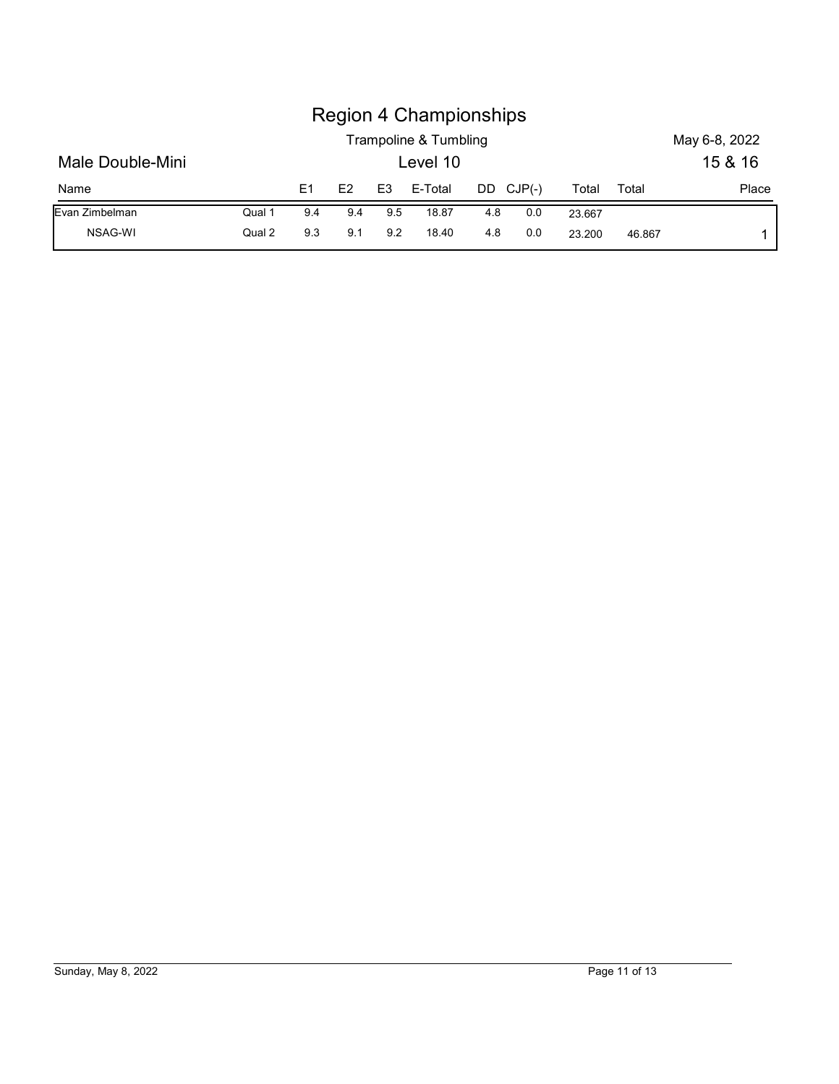|                  |        |     |     |                | <b>Region 4 Championships</b>     |     |           |        |       |                          |
|------------------|--------|-----|-----|----------------|-----------------------------------|-----|-----------|--------|-------|--------------------------|
| Male Double-Mini |        |     |     |                | Trampoline & Tumbling<br>Level 10 |     |           |        |       | May 6-8, 2022<br>15 & 16 |
| Name             |        | E1  | E2  | E <sub>3</sub> | E-Total                           |     | DD CJP(-) | Total  | Total | Place                    |
| Evan Zimbelman   | Qual 1 | 9.4 | 9.4 | 9.5            | 18.87                             | 4.8 | 0.0       | 23.667 |       |                          |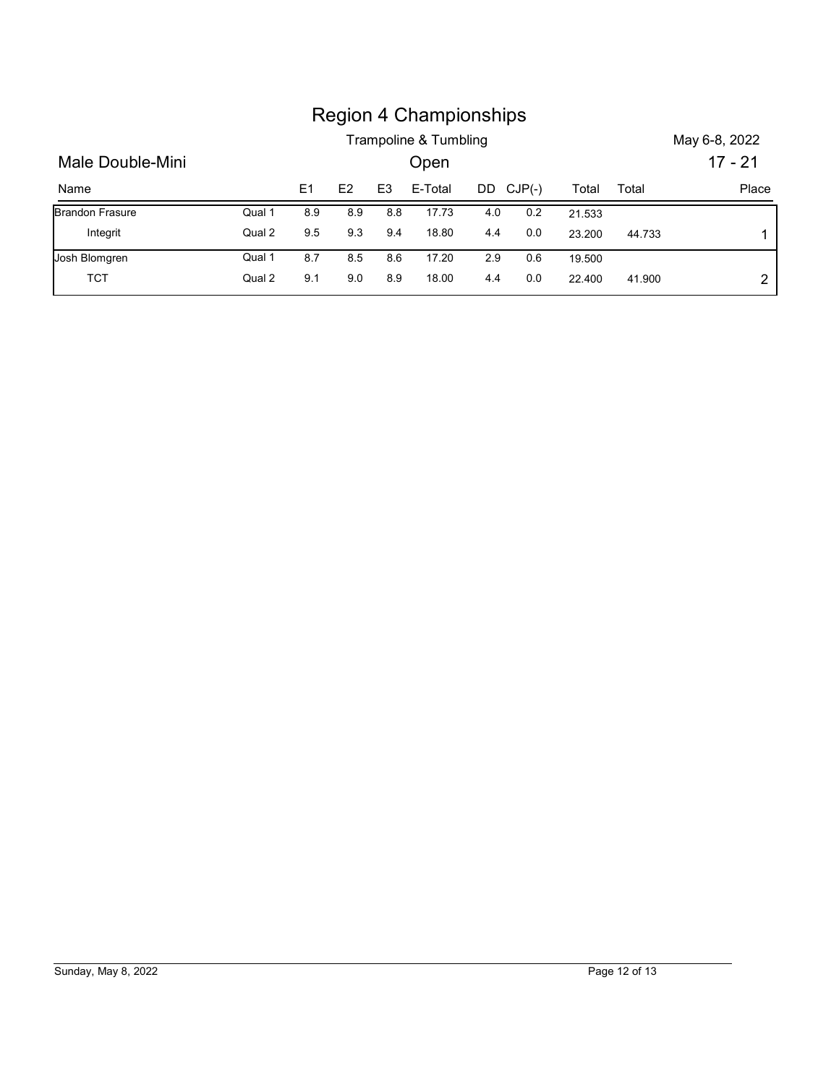|                        |        |     |     |                | <b>Region 4 Championships</b> |     |           |        |        |               |
|------------------------|--------|-----|-----|----------------|-------------------------------|-----|-----------|--------|--------|---------------|
|                        |        |     |     |                | Trampoline & Tumbling         |     |           |        |        | May 6-8, 2022 |
| Male Double-Mini       |        |     |     |                | Open                          |     |           |        |        | $17 - 21$     |
| Name                   |        | E1  | E2  | E <sub>3</sub> | E-Total                       |     | DD CJP(-) | Total  | Total  | Place         |
| <b>Brandon Frasure</b> | Qual 1 | 8.9 | 8.9 | 8.8            | 17.73                         | 4.0 | $0.2\,$   | 21.533 |        |               |
| Integrit               | Qual 2 | 9.5 | 9.3 | 9.4            | 18.80                         | 4.4 | 0.0       | 23.200 | 44.733 | 1             |
| Josh Blomgren          | Qual 1 | 8.7 | 8.5 | 8.6            | 17.20                         | 2.9 | 0.6       | 19.500 |        |               |